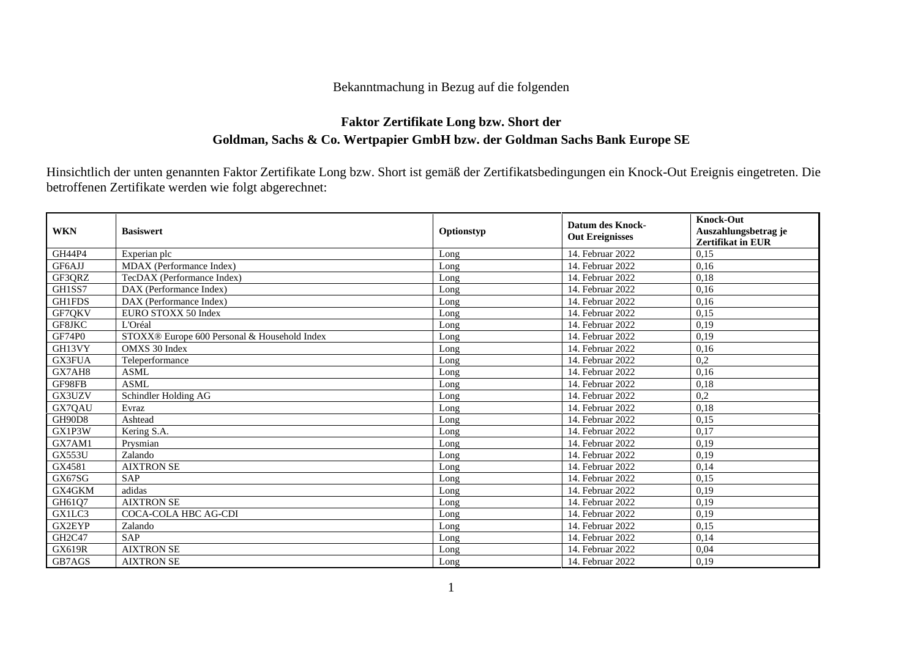## Bekanntmachung in Bezug auf die folgenden

## **Faktor Zertifikate Long bzw. Short der Goldman, Sachs & Co. Wertpapier GmbH bzw. der Goldman Sachs Bank Europe SE**

Hinsichtlich der unten genannten Faktor Zertifikate Long bzw. Short ist gemäß der Zertifikatsbedingungen ein Knock-Out Ereignis eingetreten. Die betroffenen Zertifikate werden wie folgt abgerechnet:

| <b>WKN</b>    | <b>Basiswert</b>                             | Optionstyp | <b>Datum des Knock-</b><br><b>Out Ereignisses</b> | <b>Knock-Out</b><br>Auszahlungsbetrag je<br><b>Zertifikat in EUR</b> |
|---------------|----------------------------------------------|------------|---------------------------------------------------|----------------------------------------------------------------------|
| <b>GH44P4</b> | Experian plc                                 | Long       | 14. Februar 2022                                  | 0,15                                                                 |
| GF6AJJ        | MDAX (Performance Index)                     | Long       | 14. Februar 2022                                  | 0,16                                                                 |
| GF3QRZ        | TecDAX (Performance Index)                   | Long       | 14. Februar 2022                                  | 0,18                                                                 |
| GH1SS7        | DAX (Performance Index)                      | Long       | 14. Februar 2022                                  | 0,16                                                                 |
| <b>GH1FDS</b> | DAX (Performance Index)                      | Long       | 14. Februar 2022                                  | 0,16                                                                 |
| GF7QKV        | EURO STOXX 50 Index                          | Long       | 14. Februar 2022                                  | 0,15                                                                 |
| GF8JKC        | L'Oréal                                      | Long       | 14. Februar 2022                                  | 0,19                                                                 |
| GF74P0        | STOXX® Europe 600 Personal & Household Index | Long       | 14. Februar 2022                                  | 0,19                                                                 |
| GH13VY        | OMXS 30 Index                                | Long       | 14. Februar 2022                                  | 0,16                                                                 |
| GX3FUA        | Teleperformance                              | Long       | 14. Februar 2022                                  | 0,2                                                                  |
| GX7AH8        | <b>ASML</b>                                  | Long       | 14. Februar 2022                                  | 0,16                                                                 |
| GF98FB        | <b>ASML</b>                                  | Long       | 14. Februar 2022                                  | 0,18                                                                 |
| GX3UZV        | Schindler Holding AG                         | Long       | 14. Februar 2022                                  | 0,2                                                                  |
| GX7QAU        | Evraz                                        | Long       | 14. Februar 2022                                  | 0,18                                                                 |
| <b>GH90D8</b> | Ashtead                                      | Long       | 14. Februar 2022                                  | 0,15                                                                 |
| GX1P3W        | Kering S.A.                                  | Long       | 14. Februar 2022                                  | 0,17                                                                 |
| GX7AM1        | Prysmian                                     | Long       | 14. Februar 2022                                  | 0,19                                                                 |
| <b>GX553U</b> | Zalando                                      | Long       | 14. Februar 2022                                  | 0,19                                                                 |
| GX4581        | <b>AIXTRON SE</b>                            | Long       | 14. Februar 2022                                  | 0,14                                                                 |
| GX67SG        | <b>SAP</b>                                   | Long       | 14. Februar 2022                                  | 0,15                                                                 |
| GX4GKM        | adidas                                       | Long       | 14. Februar 2022                                  | 0,19                                                                 |
| GH6107        | <b>AIXTRON SE</b>                            | Long       | 14. Februar 2022                                  | 0,19                                                                 |
| GX1LC3        | COCA-COLA HBC AG-CDI                         | Long       | 14. Februar 2022                                  | 0,19                                                                 |
| GX2EYP        | Zalando                                      | Long       | 14. Februar 2022                                  | 0,15                                                                 |
| GH2C47        | <b>SAP</b>                                   | Long       | 14. Februar 2022                                  | 0,14                                                                 |
| <b>GX619R</b> | <b>AIXTRON SE</b>                            | Long       | 14. Februar 2022                                  | 0,04                                                                 |
| GB7AGS        | <b>AIXTRON SE</b>                            | Long       | 14. Februar 2022                                  | 0,19                                                                 |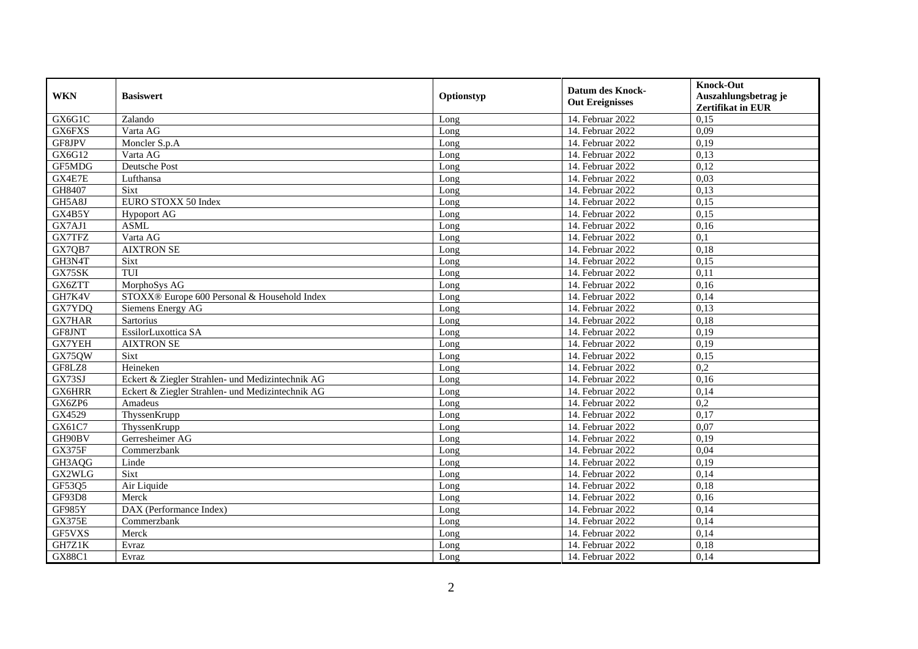| <b>WKN</b>    | <b>Basiswert</b>                                 | Optionstyp | <b>Datum des Knock-</b><br><b>Out Ereignisses</b> | <b>Knock-Out</b><br>Auszahlungsbetrag je<br><b>Zertifikat in EUR</b> |
|---------------|--------------------------------------------------|------------|---------------------------------------------------|----------------------------------------------------------------------|
| GX6G1C        | Zalando                                          | Long       | 14. Februar 2022                                  | 0,15                                                                 |
| GX6FXS        | Varta AG                                         | Long       | 14. Februar 2022                                  | 0,09                                                                 |
| GF8JPV        | Moncler S.p.A                                    | Long       | 14. Februar 2022                                  | 0,19                                                                 |
| GX6G12        | Varta AG                                         | Long       | 14. Februar 2022                                  | 0.13                                                                 |
| GF5MDG        | Deutsche Post                                    | Long       | 14. Februar 2022                                  | 0,12                                                                 |
| GX4E7E        | Lufthansa                                        | Long       | 14. Februar 2022                                  | 0,03                                                                 |
| GH8407        | Sixt                                             | Long       | 14. Februar 2022                                  | 0.13                                                                 |
| GH5A8J        | EURO STOXX 50 Index                              | Long       | 14. Februar 2022                                  | 0,15                                                                 |
| GX4B5Y        | <b>Hypoport AG</b>                               | Long       | 14. Februar 2022                                  | 0,15                                                                 |
| GX7AJ1        | <b>ASML</b>                                      | Long       | 14. Februar 2022                                  | 0,16                                                                 |
| GX7TFZ        | Varta AG                                         | Long       | 14. Februar 2022                                  | 0,1                                                                  |
| GX7QB7        | <b>AIXTRON SE</b>                                | Long       | 14. Februar 2022                                  | 0,18                                                                 |
| GH3N4T        | Sixt                                             | Long       | 14. Februar 2022                                  | 0,15                                                                 |
| GX75SK        | TUI                                              | Long       | 14. Februar 2022                                  | 0,11                                                                 |
| GX6ZTT        | MorphoSys AG                                     | Long       | 14. Februar 2022                                  | 0,16                                                                 |
| GH7K4V        | STOXX® Europe 600 Personal & Household Index     | Long       | 14. Februar 2022                                  | 0,14                                                                 |
| GX7YDQ        | Siemens Energy AG                                | Long       | 14. Februar 2022                                  | 0,13                                                                 |
| <b>GX7HAR</b> | <b>Sartorius</b>                                 | Long       | 14. Februar 2022                                  | 0.18                                                                 |
| GF8JNT        | EssilorLuxottica SA                              | Long       | 14. Februar 2022                                  | 0,19                                                                 |
| <b>GX7YEH</b> | <b>AIXTRON SE</b>                                | Long       | 14. Februar 2022                                  | 0,19                                                                 |
| GX75QW        | Sixt                                             | Long       | 14. Februar 2022                                  | 0,15                                                                 |
| GF8LZ8        | Heineken                                         | Long       | 14. Februar 2022                                  | $\overline{0.2}$                                                     |
| GX73SJ        | Eckert & Ziegler Strahlen- und Medizintechnik AG | Long       | 14. Februar 2022                                  | 0,16                                                                 |
| <b>GX6HRR</b> | Eckert & Ziegler Strahlen- und Medizintechnik AG | Long       | 14. Februar 2022                                  | 0,14                                                                 |
| GX6ZP6        | Amadeus                                          | Long       | 14. Februar 2022                                  | 0,2                                                                  |
| GX4529        | ThyssenKrupp                                     | Long       | 14. Februar 2022                                  | 0,17                                                                 |
| GX61C7        | ThyssenKrupp                                     | Long       | 14. Februar 2022                                  | 0.07                                                                 |
| GH90BV        | Gerresheimer AG                                  | Long       | 14. Februar 2022                                  | 0,19                                                                 |
| <b>GX375F</b> | Commerzbank                                      | Long       | 14. Februar 2022                                  | 0,04                                                                 |
| GH3AQG        | Linde                                            | Long       | 14. Februar 2022                                  | 0,19                                                                 |
| GX2WLG        | Sixt                                             | Long       | 14. Februar 2022                                  | 0,14                                                                 |
| GF53Q5        | Air Liquide                                      | Long       | 14. Februar 2022                                  | 0.18                                                                 |
| GF93D8        | Merck                                            | Long       | 14. Februar 2022                                  | 0,16                                                                 |
| GF985Y        | DAX (Performance Index)                          | Long       | 14. Februar 2022                                  | 0,14                                                                 |
| <b>GX375E</b> | Commerzbank                                      | Long       | 14. Februar 2022                                  | 0,14                                                                 |
| GF5VXS        | Merck                                            | Long       | 14. Februar 2022                                  | 0,14                                                                 |
| GH7Z1K        | Evraz                                            | Long       | 14. Februar 2022                                  | 0,18                                                                 |
| <b>GX88C1</b> | Evraz                                            | Long       | 14. Februar 2022                                  | 0,14                                                                 |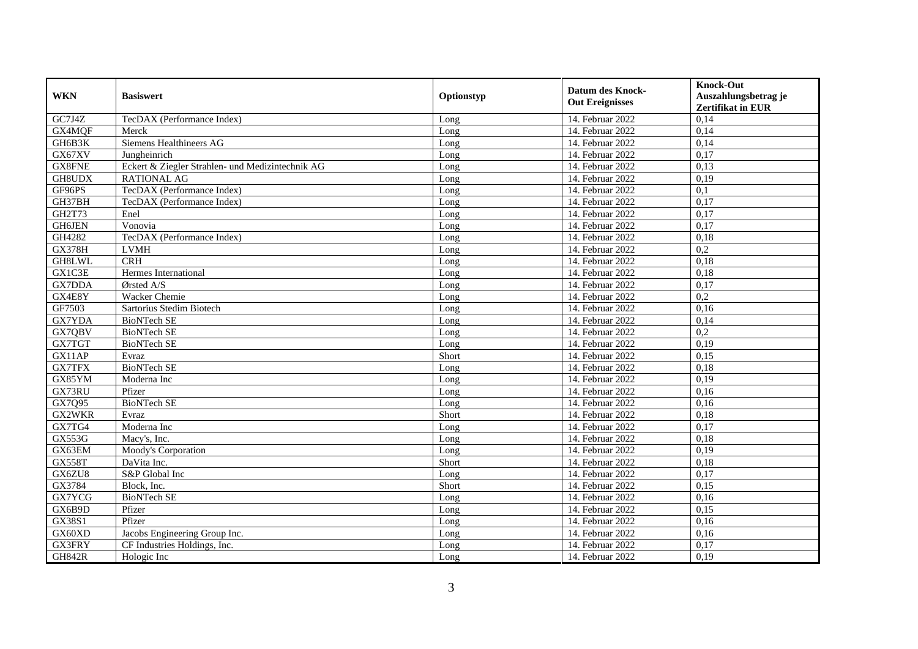| <b>WKN</b>    | <b>Basiswert</b>                                 | Optionstyp | <b>Datum des Knock-</b><br><b>Out Ereignisses</b> | <b>Knock-Out</b>                                 |
|---------------|--------------------------------------------------|------------|---------------------------------------------------|--------------------------------------------------|
|               |                                                  |            |                                                   | Auszahlungsbetrag je<br><b>Zertifikat in EUR</b> |
| GC7J4Z        | TecDAX (Performance Index)                       | Long       | 14. Februar 2022                                  | 0,14                                             |
| GX4MQF        | Merck                                            | Long       | 14. Februar 2022                                  | 0,14                                             |
| GH6B3K        | Siemens Healthineers AG                          | Long       | 14. Februar 2022                                  | 0,14                                             |
| GX67XV        | Jungheinrich                                     | Long       | 14. Februar 2022                                  | 0,17                                             |
| GX8FNE        | Eckert & Ziegler Strahlen- und Medizintechnik AG | Long       | 14. Februar 2022                                  | 0,13                                             |
| GH8UDX        | <b>RATIONAL AG</b>                               | Long       | 14. Februar 2022                                  | 0,19                                             |
| GF96PS        | TecDAX (Performance Index)                       | Long       | 14. Februar 2022                                  | $\overline{0,1}$                                 |
| GH37BH        | TecDAX (Performance Index)                       | Long       | 14. Februar 2022                                  | 0,17                                             |
| GH2T73        | Enel                                             | Long       | 14. Februar 2022                                  | 0,17                                             |
| GH6JEN        | Vonovia                                          | Long       | 14. Februar 2022                                  | 0,17                                             |
| GH4282        | TecDAX (Performance Index)                       | Long       | 14. Februar 2022                                  | 0,18                                             |
| <b>GX378H</b> | <b>LVMH</b>                                      | Long       | 14. Februar 2022                                  | 0,2                                              |
| GH8LWL        | CRH                                              | Long       | 14. Februar 2022                                  | 0,18                                             |
| GX1C3E        | Hermes International                             | Long       | 14. Februar 2022                                  | 0,18                                             |
| GX7DDA        | Ørsted A/S                                       | Long       | 14. Februar 2022                                  | 0,17                                             |
| GX4E8Y        | <b>Wacker Chemie</b>                             | Long       | 14. Februar 2022                                  | 0,2                                              |
| GF7503        | Sartorius Stedim Biotech                         | Long       | 14. Februar 2022                                  | 0,16                                             |
| GX7YDA        | <b>BioNTech SE</b>                               | Long       | 14. Februar 2022                                  | 0,14                                             |
| GX7QBV        | <b>BioNTech SE</b>                               | Long       | 14. Februar 2022                                  | 0,2                                              |
| GX7TGT        | <b>BioNTech SE</b>                               | Long       | 14. Februar 2022                                  | 0,19                                             |
| GX11AP        | Evraz                                            | Short      | 14. Februar 2022                                  | 0,15                                             |
| <b>GX7TFX</b> | <b>BioNTech SE</b>                               | Long       | 14. Februar 2022                                  | 0,18                                             |
| GX85YM        | Moderna Inc                                      | Long       | 14. Februar 2022                                  | 0,19                                             |
| GX73RU        | Pfizer                                           | Long       | 14. Februar 2022                                  | 0,16                                             |
| GX7Q95        | <b>BioNTech SE</b>                               | Long       | 14. Februar 2022                                  | 0,16                                             |
| GX2WKR        | Evraz                                            | Short      | 14. Februar 2022                                  | 0,18                                             |
| GX7TG4        | Moderna Inc                                      | Long       | 14. Februar 2022                                  | 0,17                                             |
| GX553G        | Macy's, Inc.                                     | Long       | 14. Februar 2022                                  | 0,18                                             |
| GX63EM        | Moody's Corporation                              | Long       | 14. Februar 2022                                  | 0,19                                             |
| <b>GX558T</b> | DaVita Inc.                                      | Short      | 14. Februar 2022                                  | 0,18                                             |
| GX6ZU8        | S&P Global Inc                                   | Long       | 14. Februar 2022                                  | 0,17                                             |
| GX3784        | Block, Inc.                                      | Short      | 14. Februar 2022                                  | 0,15                                             |
| GX7YCG        | <b>BioNTech SE</b>                               | Long       | 14. Februar 2022                                  | 0,16                                             |
| GX6B9D        | Pfizer                                           | Long       | 14. Februar 2022                                  | 0,15                                             |
| GX38S1        | Pfizer                                           | Long       | 14. Februar 2022                                  | 0,16                                             |
| GX60XD        | Jacobs Engineering Group Inc.                    | Long       | 14. Februar 2022                                  | 0,16                                             |
| GX3FRY        | CF Industries Holdings, Inc.                     | Long       | 14. Februar 2022                                  | 0,17                                             |
| <b>GH842R</b> | Hologic Inc                                      | Long       | 14. Februar 2022                                  | 0,19                                             |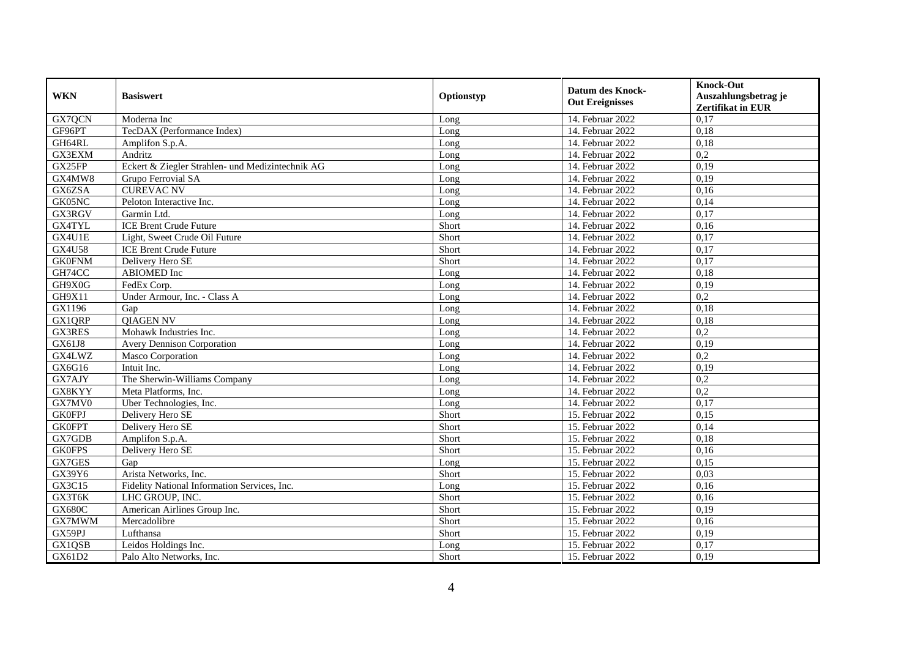| <b>WKN</b>    |                                                  |            | <b>Datum des Knock-</b><br><b>Out Ereignisses</b> | <b>Knock-Out</b>                                 |
|---------------|--------------------------------------------------|------------|---------------------------------------------------|--------------------------------------------------|
|               | <b>Basiswert</b>                                 | Optionstyp |                                                   | Auszahlungsbetrag je<br><b>Zertifikat in EUR</b> |
| GX7QCN        | Moderna Inc                                      | Long       | 14. Februar 2022                                  | 0,17                                             |
| GF96PT        | TecDAX (Performance Index)                       | Long       | 14. Februar 2022                                  | 0,18                                             |
| GH64RL        | Amplifon S.p.A.                                  | Long       | 14. Februar 2022                                  | 0,18                                             |
| GX3EXM        | Andritz                                          | Long       | 14. Februar 2022                                  | 0,2                                              |
| GX25FP        | Eckert & Ziegler Strahlen- und Medizintechnik AG | Long       | 14. Februar 2022                                  | 0,19                                             |
| GX4MW8        | Grupo Ferrovial SA                               | Long       | 14. Februar 2022                                  | 0,19                                             |
| GX6ZSA        | <b>CUREVAC NV</b>                                | Long       | 14. Februar 2022                                  | 0,16                                             |
| GK05NC        | Peloton Interactive Inc.                         | Long       | 14. Februar 2022                                  | 0,14                                             |
| GX3RGV        | Garmin Ltd.                                      | Long       | 14. Februar 2022                                  | 0,17                                             |
| <b>GX4TYL</b> | <b>ICE Brent Crude Future</b>                    | Short      | 14. Februar 2022                                  | 0,16                                             |
| GX4U1E        | Light, Sweet Crude Oil Future                    | Short      | 14. Februar 2022                                  | 0,17                                             |
| <b>GX4U58</b> | <b>ICE Brent Crude Future</b>                    | Short      | 14. Februar 2022                                  | 0,17                                             |
| <b>GK0FNM</b> | Delivery Hero SE                                 | Short      | 14. Februar 2022                                  | 0,17                                             |
| GH74CC        | <b>ABIOMED</b> Inc                               | Long       | 14. Februar 2022                                  | 0,18                                             |
| GH9X0G        | FedEx Corp.                                      | Long       | 14. Februar 2022                                  | 0,19                                             |
| GH9X11        | Under Armour, Inc. - Class A                     | Long       | 14. Februar 2022                                  | 0,2                                              |
| GX1196        | Gap                                              | Long       | 14. Februar 2022                                  | 0,18                                             |
| <b>GX1QRP</b> | <b>OIAGEN NV</b>                                 | Long       | 14. Februar 2022                                  | 0,18                                             |
| GX3RES        | Mohawk Industries Inc.                           | Long       | 14. Februar 2022                                  | 0,2                                              |
| GX61J8        | <b>Avery Dennison Corporation</b>                | Long       | 14. Februar 2022                                  | 0,19                                             |
| GX4LWZ        | Masco Corporation                                | Long       | 14. Februar 2022                                  | 0,2                                              |
| GX6G16        | Intuit Inc.                                      | Long       | 14. Februar 2022                                  | 0,19                                             |
| GX7AJY        | The Sherwin-Williams Company                     | Long       | 14. Februar 2022                                  | 0,2                                              |
| GX8KYY        | Meta Platforms, Inc.                             | Long       | 14. Februar 2022                                  | $\overline{0,2}$                                 |
| GX7MV0        | Uber Technologies, Inc.                          | Long       | 14. Februar 2022                                  | 0,17                                             |
| <b>GK0FPJ</b> | Delivery Hero SE                                 | Short      | 15. Februar 2022                                  | 0,15                                             |
| <b>GK0FPT</b> | Delivery Hero SE                                 | Short      | 15. Februar 2022                                  | 0,14                                             |
| GX7GDB        | Amplifon S.p.A.                                  | Short      | 15. Februar 2022                                  | 0,18                                             |
| <b>GK0FPS</b> | Delivery Hero SE                                 | Short      | 15. Februar 2022                                  | 0,16                                             |
| GX7GES        | Gap                                              | Long       | 15. Februar 2022                                  | 0,15                                             |
| GX39Y6        | Arista Networks, Inc.                            | Short      | 15. Februar 2022                                  | 0,03                                             |
| GX3C15        | Fidelity National Information Services, Inc.     | Long       | 15. Februar 2022                                  | 0,16                                             |
| GX3T6K        | LHC GROUP, INC.                                  | Short      | 15. Februar 2022                                  | 0,16                                             |
| <b>GX680C</b> | American Airlines Group Inc.                     | Short      | 15. Februar 2022                                  | 0,19                                             |
| GX7MWM        | Mercadolibre                                     | Short      | 15. Februar 2022                                  | 0,16                                             |
| GX59PJ        | Lufthansa                                        | Short      | 15. Februar 2022                                  | 0,19                                             |
| GX1QSB        | Leidos Holdings Inc.                             | Long       | 15. Februar 2022                                  | 0,17                                             |
| GX61D2        | Palo Alto Networks, Inc.                         | Short      | 15. Februar 2022                                  | 0,19                                             |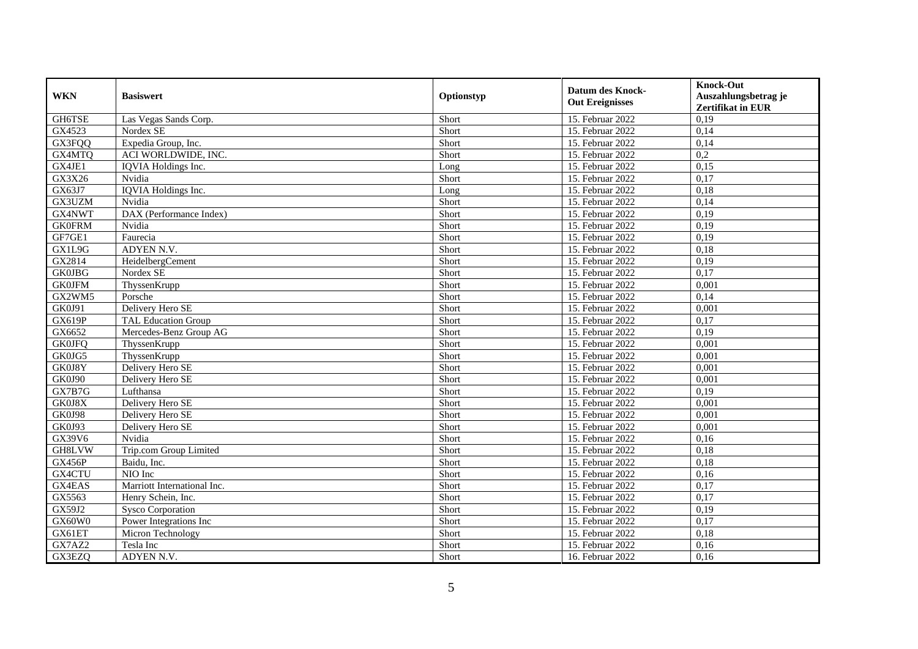| <b>WKN</b>    | <b>Basiswert</b>            | Optionstyp | <b>Datum des Knock-</b><br><b>Out Ereignisses</b> | <b>Knock-Out</b><br>Auszahlungsbetrag je<br><b>Zertifikat in EUR</b> |
|---------------|-----------------------------|------------|---------------------------------------------------|----------------------------------------------------------------------|
| GH6TSE        | Las Vegas Sands Corp.       | Short      | 15. Februar 2022                                  | 0,19                                                                 |
| GX4523        | Nordex SE                   | Short      | 15. Februar 2022                                  | 0,14                                                                 |
| GX3FQQ        | Expedia Group, Inc.         | Short      | 15. Februar 2022                                  | 0,14                                                                 |
| GX4MTQ        | ACI WORLDWIDE, INC.         | Short      | 15. Februar 2022                                  | 0,2                                                                  |
| GX4JE1        | IQVIA Holdings Inc.         | Long       | 15. Februar 2022                                  | 0,15                                                                 |
| GX3X26        | Nvidia                      | Short      | 15. Februar 2022                                  | 0,17                                                                 |
| GX63J7        | IQVIA Holdings Inc.         | Long       | 15. Februar 2022                                  | 0,18                                                                 |
| GX3UZM        | Nvidia                      | Short      | 15. Februar 2022                                  | 0,14                                                                 |
| GX4NWT        | DAX (Performance Index)     | Short      | 15. Februar 2022                                  | 0,19                                                                 |
| <b>GK0FRM</b> | Nvidia                      | Short      | 15. Februar 2022                                  | 0,19                                                                 |
| GF7GE1        | Faurecia                    | Short      | 15. Februar 2022                                  | 0,19                                                                 |
| GX1L9G        | ADYEN N.V.                  | Short      | 15. Februar 2022                                  | 0,18                                                                 |
| GX2814        | HeidelbergCement            | Short      | 15. Februar 2022                                  | 0,19                                                                 |
| <b>GK0JBG</b> | Nordex SE                   | Short      | 15. Februar 2022                                  | 0,17                                                                 |
| <b>GK0JFM</b> | ThyssenKrupp                | Short      | 15. Februar 2022                                  | 0,001                                                                |
| GX2WM5        | Porsche                     | Short      | 15. Februar 2022                                  | 0,14                                                                 |
| <b>GK0J91</b> | Delivery Hero SE            | Short      | 15. Februar 2022                                  | 0,001                                                                |
| <b>GX619P</b> | TAL Education Group         | Short      | 15. Februar 2022                                  | 0,17                                                                 |
| GX6652        | Mercedes-Benz Group AG      | Short      | 15. Februar 2022                                  | 0,19                                                                 |
| <b>GK0JFQ</b> | ThyssenKrupp                | Short      | 15. Februar 2022                                  | 0,001                                                                |
| GK0JG5        | ThyssenKrupp                | Short      | 15. Februar 2022                                  | 0,001                                                                |
| GK0J8Y        | Delivery Hero SE            | Short      | 15. Februar 2022                                  | 0,001                                                                |
| <b>GK0J90</b> | Delivery Hero SE            | Short      | 15. Februar 2022                                  | 0,001                                                                |
| GX7B7G        | Lufthansa                   | Short      | 15. Februar 2022                                  | 0,19                                                                 |
| GK0J8X        | Delivery Hero SE            | Short      | 15. Februar 2022                                  | 0,001                                                                |
| GK0J98        | Delivery Hero SE            | Short      | 15. Februar 2022                                  | 0,001                                                                |
| GK0J93        | Delivery Hero SE            | Short      | 15. Februar 2022                                  | 0,001                                                                |
| GX39V6        | Nvidia                      | Short      | 15. Februar 2022                                  | 0,16                                                                 |
| GH8LVW        | Trip.com Group Limited      | Short      | 15. Februar 2022                                  | 0,18                                                                 |
| <b>GX456P</b> | Baidu, Inc.                 | Short      | 15. Februar 2022                                  | 0,18                                                                 |
| GX4CTU        | NIO Inc                     | Short      | 15. Februar 2022                                  | 0,16                                                                 |
| GX4EAS        | Marriott International Inc. | Short      | 15. Februar 2022                                  | 0,17                                                                 |
| GX5563        | Henry Schein, Inc.          | Short      | 15. Februar 2022                                  | 0,17                                                                 |
| GX59J2        | <b>Sysco Corporation</b>    | Short      | 15. Februar 2022                                  | 0,19                                                                 |
| GX60W0        | Power Integrations Inc      | Short      | 15. Februar 2022                                  | 0,17                                                                 |
| GX61ET        | Micron Technology           | Short      | 15. Februar 2022                                  | 0,18                                                                 |
| GX7AZ2        | Tesla Inc                   | Short      | 15. Februar 2022                                  | 0,16                                                                 |
| GX3EZQ        | ADYEN N.V.                  | Short      | 16. Februar 2022                                  | 0,16                                                                 |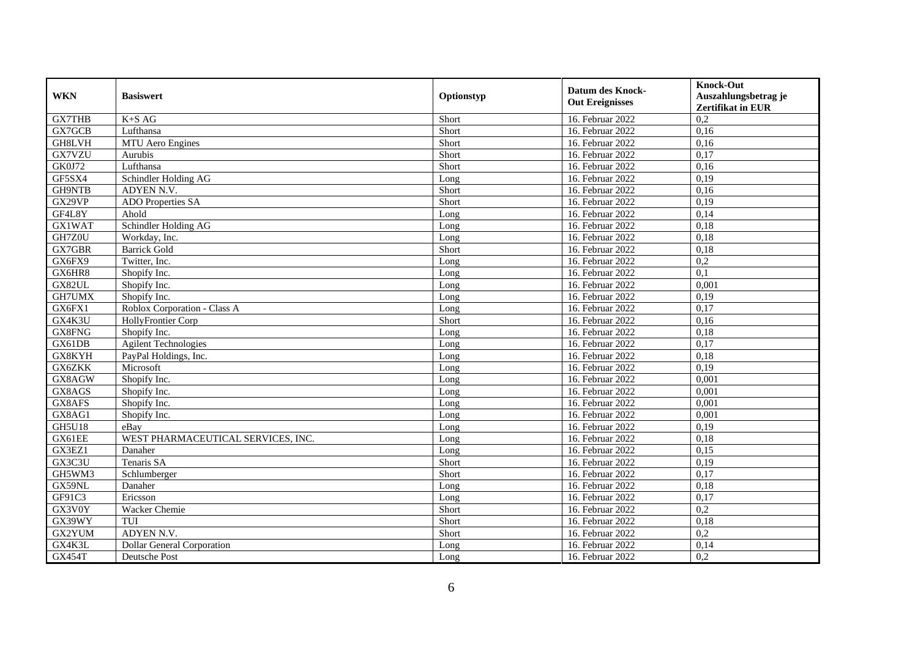| <b>WKN</b>    | <b>Basiswert</b><br>Optionstyp     |       | <b>Datum des Knock-</b><br><b>Out Ereignisses</b> | <b>Knock-Out</b>                                 |
|---------------|------------------------------------|-------|---------------------------------------------------|--------------------------------------------------|
|               |                                    |       |                                                   | Auszahlungsbetrag je<br><b>Zertifikat in EUR</b> |
| <b>GX7THB</b> | $K+SAG$                            | Short | 16. Februar 2022                                  | 0,2                                              |
| GX7GCB        | Lufthansa                          | Short | 16. Februar 2022                                  | 0,16                                             |
| GH8LVH        | <b>MTU</b> Aero Engines            | Short | 16. Februar 2022                                  | 0,16                                             |
| GX7VZU        | Aurubis                            | Short | 16. Februar 2022                                  | 0,17                                             |
| GK0J72        | Lufthansa                          | Short | 16. Februar 2022                                  | 0,16                                             |
| GF5SX4        | Schindler Holding AG               | Long  | 16. Februar 2022                                  | 0,19                                             |
| GH9NTB        | ADYEN N.V.                         | Short | 16. Februar 2022                                  | 0,16                                             |
| GX29VP        | <b>ADO</b> Properties SA           | Short | 16. Februar 2022                                  | 0,19                                             |
| GF4L8Y        | Ahold                              | Long  | 16. Februar 2022                                  | 0,14                                             |
| <b>GX1WAT</b> | Schindler Holding AG               | Long  | 16. Februar 2022                                  | 0,18                                             |
| GH7Z0U        | Workday, Inc.                      | Long  | 16. Februar 2022                                  | 0,18                                             |
| GX7GBR        | <b>Barrick Gold</b>                | Short | 16. Februar 2022                                  | 0,18                                             |
| GX6FX9        | Twitter, Inc.                      | Long  | 16. Februar 2022                                  | 0,2                                              |
| GX6HR8        | Shopify Inc.                       | Long  | 16. Februar 2022                                  | 0,1                                              |
| GX82UL        | Shopify Inc.                       | Long  | 16. Februar 2022                                  | 0,001                                            |
| GH7UMX        | Shopify Inc.                       | Long  | 16. Februar 2022                                  | 0,19                                             |
| GX6FX1        | Roblox Corporation - Class A       | Long  | 16. Februar 2022                                  | 0,17                                             |
| GX4K3U        | HollyFrontier Corp                 | Short | 16. Februar 2022                                  | 0,16                                             |
| GX8FNG        | Shopify Inc.                       | Long  | 16. Februar 2022                                  | 0,18                                             |
| GX61DB        | <b>Agilent Technologies</b>        | Long  | 16. Februar 2022                                  | 0,17                                             |
| GX8KYH        | PayPal Holdings, Inc.              | Long  | 16. Februar 2022                                  | 0,18                                             |
| GX6ZKK        | Microsoft                          | Long  | 16. Februar 2022                                  | 0,19                                             |
| GX8AGW        | Shopify Inc.                       | Long  | 16. Februar 2022                                  | 0,001                                            |
| GX8AGS        | Shopify Inc.                       | Long  | 16. Februar 2022                                  | 0,001                                            |
| GX8AFS        | Shopify Inc.                       | Long  | 16. Februar 2022                                  | 0,001                                            |
| GX8AG1        | Shopify Inc.                       | Long  | 16. Februar 2022                                  | 0,001                                            |
| <b>GH5U18</b> | eBay                               | Long  | 16. Februar 2022                                  | 0,19                                             |
| GX61EE        | WEST PHARMACEUTICAL SERVICES, INC. | Long  | 16. Februar 2022                                  | 0,18                                             |
| GX3EZ1        | Danaher                            | Long  | 16. Februar 2022                                  | 0,15                                             |
| GX3C3U        | Tenaris SA                         | Short | 16. Februar 2022                                  | 0,19                                             |
| GH5WM3        | Schlumberger                       | Short | 16. Februar 2022                                  | 0,17                                             |
| GX59NL        | Danaher                            | Long  | 16. Februar 2022                                  | 0,18                                             |
| GF91C3        | Ericsson                           | Long  | 16. Februar 2022                                  | 0,17                                             |
| GX3V0Y        | Wacker Chemie                      | Short | 16. Februar 2022                                  | 0,2                                              |
| GX39WY        | TUI                                | Short | 16. Februar 2022                                  | 0,18                                             |
| GX2YUM        | ADYEN N.V.                         | Short | 16. Februar 2022                                  | 0,2                                              |
| GX4K3L        | <b>Dollar General Corporation</b>  | Long  | 16. Februar 2022                                  | 0,14                                             |
| <b>GX454T</b> | Deutsche Post                      | Long  | 16. Februar 2022                                  | 0,2                                              |